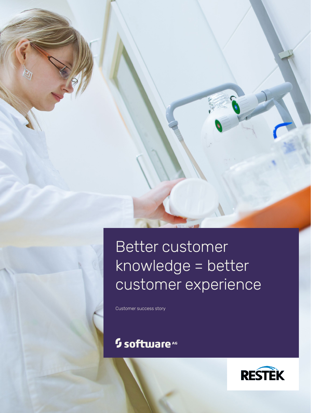# Better customer knowledge = better customer experience

Customer success story

## <sup>5</sup> software<sup>46</sup>

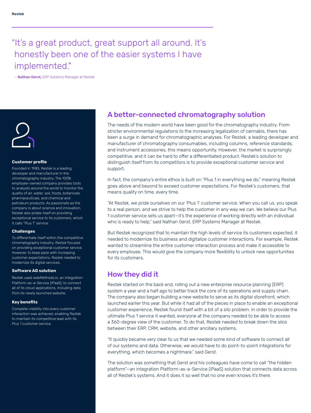## "It's a great product, great support all around. It's honestly been one of the easier systems I have implemented."

– Nathan Gerst, ERP Systems Manager at Restek



#### **Customer profile**

Founded in 1985, Restek is a leading developer and manufacturer in the chromatography industry. The 100% employee-owned company provides tools to analysts around the world to monitor the quality of air, water, soil, foods, botanicals, pharmaceuticals, and chemical and petroleum products. As passionate as the company is about science and innovation, Restek also prides itself on providing exceptional service to its customers, which it calls "Plus 1" service.

#### **Challenges**

To differentiate itself within the competitive chromatography industry, Restek focuses on providing exceptional customer service. However, to keep pace with increasing customer expectations, Restek needed to modernize its digital services.

#### **Software AG solution**

Restek used webMethods.io, an integration Platform-as-a-Service (iPaaS), to connect all of its cloud applications, including data from its newly launched website.

#### **Key benefits**

Complete visibility into every customer interaction was achieved, enabling Restek to maintain its competitive lead with its Plus 1 customer service.

### A better-connected chromatography solution

The needs of the modern world have been good for the chromatography industry. From stricter environmental regulations to the increasing legalization of cannabis, there has been a surge in demand for chromatographic analyses. For Restek, a leading developer and manufacturer of chromatography consumables, including columns, reference standards, and instrument accessories, this means opportunity. However, the market is surprisingly competitive, and it can be hard to offer a differentiated product. Restek's solution to distinguish itself from its competitors is to provide exceptional customer service and support.

In fact, the company's entire ethos is built on "Plus 1 in everything we do," meaning Restek goes above and beyond to exceed customer expectations. For Restek's customers, that means quality on time, every time.

"At Restek, we pride ourselves on our 'Plus 1' customer service. When you call us, you speak to a real person, and we strive to help the customer in any way we can. We believe our Plus 1 customer service sets us apart—it's the experience of working directly with an individual who is ready to help," said Nathan Gerst, ERP Systems Manager at Restek.

But Restek recognized that to maintain the high levels of service its customers expected, it needed to modernize its business and digitalize customer interactions. For example, Restek wanted to streamline the entire customer interaction process and make it accessible to every employee. This would give the company more flexibility to unlock new opportunities for its customers.

### How they did it

Restek started on the back end, rolling out a new enterprise resource planning (ERP) system a year and a half ago to better track the core of its operations and supply chain. The company also began building a new website to serve as its digital storefront, which launched earlier this year. But while it had all of the pieces in place to enable an exceptional customer experience, Restek found itself with a bit of a silo problem. In order to provide the ultimate Plus 1 service it wanted, everyone at the company needed to be able to access a 360-degree view of the customer. To do that, Restek needed to break down the silos between their ERP, CRM, website, and other ancillary systems.

"It quickly became very clear to us that we needed some kind of software to connect all of our systems and data. Otherwise, we would have to do point-to-point integrations for everything, which becomes a nightmare," said Gerst.

The solution was something that Gerst and his colleagues have come to call "the hidden platform"—an integration Platform-as-a-Service (iPaaS) solution that connects data across all of Restek's systems. And it does it so well that no one even knows it's there.